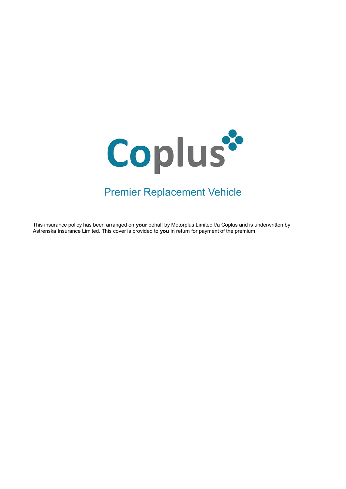

# Premier Replacement Vehicle

This insurance policy has been arranged on your behalf by Motorplus Limited t/a Coplus and is underwritten by Astrenska Insurance Limited. This cover is provided to **you** in return for payment of the premium.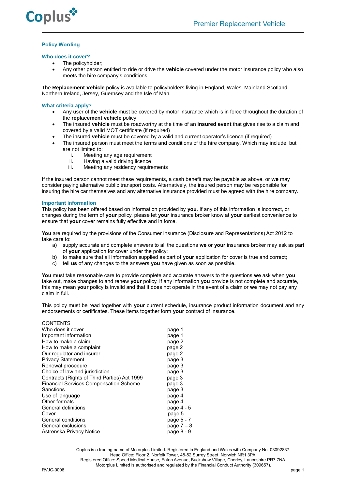

## **Policy Wording**

## **Who does it cover?**

- The policyholder;
- Any other person entitled to ride or drive the **vehicle** covered under the motor insurance policy who also meets the hire company's conditions

The **Replacement Vehicle** policy is available to policyholders living in England, Wales, Mainland Scotland, Northern Ireland, Jersey, Guernsey and the Isle of Man.

## **What criteria apply?**

- Any user of the **vehicle** must be covered by motor insurance which is in force throughout the duration of the **replacement vehicle** policy
- The insured **vehicle** must be roadworthy at the time of an **insured event** that gives rise to a claim and covered by a valid MOT certificate (if required)
- The insured **vehicle** must be covered by a valid and current operator's licence (if required)
- The insured person must meet the terms and conditions of the hire company. Which may include, but are not limited to:
	- i. Meeting any age requirement<br>ii. Having a valid driving licence
	- ii. Having a valid driving licence<br>iii. Meeting any residency require
	- Meeting any residency requirements

If the insured person cannot meet these requirements, a cash benefit may be payable as above, or **we** may consider paying alternative public transport costs. Alternatively, the insured person may be responsible for insuring the hire car themselves and any alternative insurance provided must be agreed with the hire company.

#### **Important information**

This policy has been offered based on information provided by **you**. If any of this information is incorrect, or changes during the term of **your** policy, please let **your** insurance broker know at **your** earliest convenience to ensure that **your** cover remains fully effective and in force.

**You** are required by the provisions of the Consumer Insurance (Disclosure and Representations) Act 2012 to take care to:

- a) supply accurate and complete answers to all the questions **we** or **your** insurance broker may ask as part of **your** application for cover under the policy;
- b) to make sure that all information supplied as part of **your** application for cover is true and correct;
- c) tell **us** of any changes to the answers **you** have given as soon as possible.

**You** must take reasonable care to provide complete and accurate answers to the questions **we** ask when **you** take out, make changes to and renew **your** policy. If any information **you** provide is not complete and accurate, this may mean **your** policy is invalid and that it does not operate in the event of a claim or **we** may not pay any claim in full.

This policy must be read together with **your** current schedule, insurance product information document and any endorsements or certificates. These items together form **your** contract of insurance.

| <b>CONTENTS</b>                               |            |
|-----------------------------------------------|------------|
| Who does it cover                             | page 1     |
| Important information                         | page 1     |
| How to make a claim                           | page 2     |
| How to make a complaint                       | page 2     |
| Our regulator and insurer                     | page 2     |
| <b>Privacy Statement</b>                      | page 3     |
| Renewal procedure                             | page 3     |
| Choice of law and jurisdiction                | page 3     |
| Contracts (Rights of Third Parties) Act 1999  | page 3     |
| <b>Financial Services Compensation Scheme</b> | page 3     |
| Sanctions                                     | page 3     |
| Use of language                               | page 4     |
| Other formats                                 | page 4     |
| General definitions                           | page 4 - 5 |
| Cover                                         | page 5     |
| General conditions                            | page 5 - 7 |
| General exclusions                            | page $7-8$ |
| Astrenska Privacy Notice                      | page 8 - 9 |

Coplus is a trading name of Motorplus Limited. Registered in England and Wales with Company No. 03092837. Head Office: Floor 2, Norfolk Tower, 48-52 Surrey Street, Norwich NR1 3PA. Registered Office: Speed Medical House, Eaton Avenue, Buckshaw Village, Chorley, Lancashire PR7 7NA. Motorplus Limited is authorised and regulated by the Financial Conduct Authority (309657).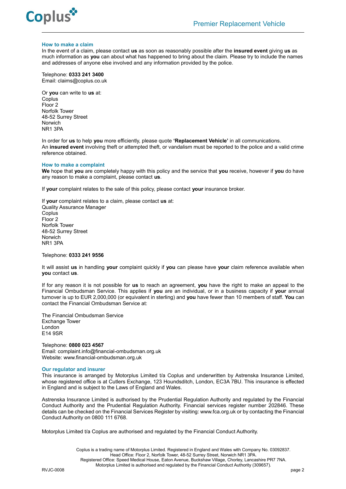

#### **How to make a claim**

In the event of a claim, please contact **us** as soon as reasonably possible after the **insured event** giving **us** as much information as **you** can about what has happened to bring about the claim. Please try to include the names and addresses of anyone else involved and any information provided by the police.

Telephone: **0333 241 3400** Email: claims@coplus.co.uk

Or **you** can write to **us** at: Coplus Floor 2 Norfolk Tower 48-52 Surrey Street Norwich NR1 3PA

In order for **us** to help **you** more efficiently, please quote **'Replacement Vehicle'** in all communications. An **insured event** involving theft or attempted theft, or vandalism must be reported to the police and a valid crime reference obtained.

#### **How to make a complaint**

**We** hope that **you** are completely happy with this policy and the service that **you** receive, however if **you** do have any reason to make a complaint, please contact **us**.

If **your** complaint relates to the sale of this policy, please contact **your** insurance broker.

If **your** complaint relates to a claim, please contact **us** at: Quality Assurance Manager **Coplus** Floor 2 Norfolk Tower 48-52 Surrey Street Norwich NR1 3PA

Telephone: **0333 241 9556**

It will assist **us** in handling **your** complaint quickly if **you** can please have **your** claim reference available when **you** contact **us**.

If for any reason it is not possible for **us** to reach an agreement, **you** have the right to make an appeal to the Financial Ombudsman Service. This applies if **you** are an individual, or in a business capacity if **your** annual turnover is up to EUR 2,000,000 (or equivalent in sterling) and **you** have fewer than 10 members of staff. **You** can contact the Financial Ombudsman Service at:

The Financial Ombudsman Service Exchange Tower London E14 9SR

Telephone: **0800 023 4567** Email[: complaint.info@financial-ombudsman.org.uk](mailto:complaint.info@financial-ombudsman.org.uk) Website: [www.financial-ombudsman.org.uk](http://www.financial-ombudsman.org.uk/)

#### **Our regulator and insurer**

This insurance is arranged by Motorplus Limited t/a Coplus and underwritten by Astrenska Insurance Limited, whose registered office is at Cutlers Exchange, 123 Houndsditch, London, EC3A 7BU. This insurance is effected in England and is subject to the Laws of England and Wales.

Astrenska Insurance Limited is authorised by the Prudential Regulation Authority and regulated by the Financial Conduct Authority and the Prudential Regulation Authority. Financial services register number 202846. These details can be checked on the Financial Services Register by visiting: www.fca.org.uk or by contacting the Financial Conduct Authority on 0800 111 6768.

Motorplus Limited t/a Coplus are authorised and regulated by the Financial Conduct Authority.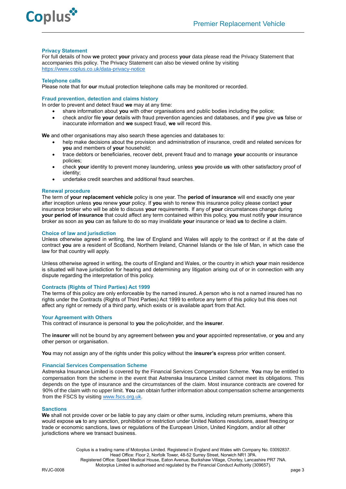

## **Privacy Statement**

For full details of how **we** protect **your** privacy and process **your** data please read the Privacy Statement that accompanies this policy. The Privacy Statement can also be viewed online by visiting [https://www.coplus.co.uk/data-privacy-notice](https://www.coplus.co.uk/data-privacy-notice/)

#### **Telephone calls**

Please note that for **our** mutual protection telephone calls may be monitored or recorded.

## **Fraud prevention, detection and claims history**

In order to prevent and detect fraud **we** may at any time:

- share information about **you** with other organisations and public bodies including the police;
- check and/or file **your** details with fraud prevention agencies and databases, and if **you** give **us** false or inaccurate information and **we** suspect fraud, **we** will record this.

**We** and other organisations may also search these agencies and databases to:

- help make decisions about the provision and administration of insurance, credit and related services for **you** and members of **your** household;
- trace debtors or beneficiaries, recover debt, prevent fraud and to manage **your** accounts or insurance policies;
- check **your** identity to prevent money laundering, unless **you** provide **us** with other satisfactory proof of identity;
- undertake credit searches and additional fraud searches.

## **Renewal procedure**

The term of **your replacement vehicle** policy is one year. The **period of insurance** will end exactly one year after inception unless **you** renew **your** policy. If **you** wish to renew this insurance policy please contact **your**  insurance broker who will be able to discuss **your** requirements. If any of **your** circumstances change during **your period of insurance** that could affect any term contained within this policy, **you** must notify **your** insurance broker as soon as **you** can as failure to do so may invalidate **your** insurance or lead **us** to decline a claim.

## **Choice of law and jurisdiction**

Unless otherwise agreed in writing, the law of England and Wales will apply to the contract or if at the date of contract **you** are a resident of Scotland, Northern Ireland, Channel Islands or the Isle of Man, in which case the law for that country will apply.

Unless otherwise agreed in writing, the courts of England and Wales, or the country in which **your** main residence is situated will have jurisdiction for hearing and determining any litigation arising out of or in connection with any dispute regarding the interpretation of this policy.

## **Contracts (Rights of Third Parties) Act 1999**

The terms of this policy are only enforceable by the named insured**.** A person who is not a named insured has no rights under the Contracts (Rights of Third Parties) Act 1999 to enforce any term of this policy but this does not affect any right or remedy of a third party, which exists or is available apart from that Act.

#### **Your Agreement with Others**

This contract of insurance is personal to **you** the policyholder, and the **insurer**.

The **insurer** will not be bound by any agreement between **you** and **your** appointed representative, or **you** and any other person or organisation.

**You** may not assign any of the rights under this policy without the **insurer's** express prior written consent.

## **Financial Services Compensation Scheme**

Astrenska Insurance Limited is covered by the Financial Services Compensation Scheme. **You** may be entitled to compensation from the scheme in the event that Astrenska Insurance Limited cannot meet its obligations. This depends on the type of insurance and the circumstances of the claim. Most insurance contracts are covered for 90% of the claim with no upper limit. **You** can obtain further information about compensation scheme arrangements from the FSCS by visiting [www.fscs.org.uk.](http://www.fscs.org.uk/)

## **Sanctions**

**We** shall not provide cover or be liable to pay any claim or other sums, including return premiums, where this would expose **us** to any sanction, prohibition or restriction under United Nations resolutions, asset freezing or trade or economic sanctions, laws or regulations of the European Union, United Kingdom, and/or all other jurisdictions where we transact business.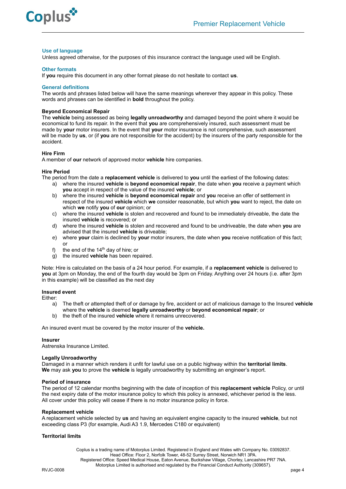



#### **Use of language**

Unless agreed otherwise, for the purposes of this insurance contract the language used will be English.

## **Other formats**

If **you** require this document in any other format please do not hesitate to contact **us**.

## **General definitions**

The words and phrases listed below will have the same meanings wherever they appear in this policy. These words and phrases can be identified in **bold** throughout the policy.

## **Beyond Economical Repair**

The **vehicle** being assessed as being **legally unroadworthy** and damaged beyond the point where it would be economical to fund its repair. In the event that **you** are comprehensively insured, such assessment must be made by **your** motor insurers. In the event that **your** motor insurance is not comprehensive, such assessment will be made by **us**, or (if **you** are not responsible for the accident) by the insurers of the party responsible for the accident.

## **Hire Firm**

A member of **our** network of approved motor **vehicle** hire companies.

#### **Hire Period**

The period from the date a **replacement vehicle** is delivered to **you** until the earliest of the following dates:

- a) where the insured **vehicle** is **beyond economical repair**, the date when **you** receive a payment which **you** accept in respect of the value of the insured **vehicle**; or
- b) where the insured **vehicle** is **beyond economical repair** and **you** receive an offer of settlement in respect of the insured **vehicle** which **we** consider reasonable, but which **you** want to reject, the date on which **we** notify **you** of **our** opinion; or
- c) where the insured **vehicle** is stolen and recovered and found to be immediately driveable, the date the insured **vehicle** is recovered; or
- d) where the insured **vehicle** is stolen and recovered and found to be undriveable, the date when **you** are advised that the insured **vehicle** is driveable;
- e) where **your** claim is declined by **your** motor insurers, the date when **you** receive notification of this fact; or
- f) the end of the  $14<sup>th</sup>$  day of hire; or
- g) the insured **vehicle** has been repaired.

Note: Hire is calculated on the basis of a 24 hour period. For example, if a **replacement vehicle** is delivered to **you** at 3pm on Monday, the end of the fourth day would be 3pm on Friday. Anything over 24 hours (i.e. after 3pm in this example) will be classified as the next day

## **Insured event**

Either:

- a) The theft or attempted theft of or damage by fire, accident or act of malicious damage to the Insured **vehicle** where the **vehicle** is deemed **legally unroadworthy** or **beyond economical repair**; or
- b) the theft of the insured **vehicle** where it remains unrecovered.

An insured event must be covered by the motor insurer of the **vehicle.**

#### **Insurer**

Astrenska Insurance Limited.

## **Legally Unroadworthy**

Damaged in a manner which renders it unfit for lawful use on a public highway within the **territorial limits**. **We** may ask **you** to prove the **vehicle** is legally unroadworthy by submitting an engineer's report.

#### **Period of insurance**

The period of 12 calendar months beginning with the date of inception of this **replacement vehicle** Policy, or until the next expiry date of the motor insurance policy to which this policy is annexed, whichever period is the less. All cover under this policy will cease if there is no motor insurance policy in force.

## **Replacement vehicle**

A replacement vehicle selected by **us** and having an equivalent engine capacity to the insured **vehicle**, but not exceeding class P3 (for example, Audi A3 1.9, Mercedes C180 or equivalent)

#### **Territorial limits**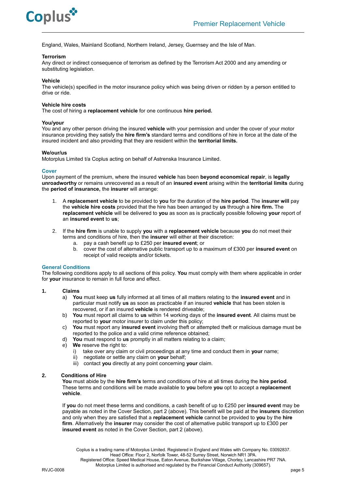

England, Wales, Mainland Scotland, Northern Ireland, Jersey, Guernsey and the Isle of Man.

## **Terrorism**

Any direct or indirect consequence of terrorism as defined by the Terrorism Act 2000 and any amending or substituting legislation.

## **Vehicle**

The vehicle(s) specified in the motor insurance policy which was being driven or ridden by a person entitled to drive or ride.

## **Vehicle hire costs**

The cost of hiring a **replacement vehicle** for one continuous **hire period.**

## **You/your**

You and any other person driving the insured **vehicle** with your permission and under the cover of your motor insurance providing they satisfy the **hire firm's** standard terms and conditions of hire in force at the date of the insured incident and also providing that they are resident within the **territorial limits.**

## **We/our/us**

Motorplus Limited t/a Coplus acting on behalf of Astrenska Insurance Limited.

## **Cover**

Upon payment of the premium, where the insured **vehicle** has been **beyond economical repair**, is **legally unroadworthy** or remains unrecovered as a result of an **insured event** arising within the **territorial limits** during the **period of insurance,** the **insurer** will arrange:

- 1. A **replacement vehicle** to be provided to **you** for the duration of the **hire period**. The **insurer will** pay the **vehicle hire costs** provided that the hire has been arranged by **us** through a **hire firm.** The **replacement vehicle** will be delivered to **you** as soon as is practically possible following **your** report of an **insured event** to **us**;
- 2. If the **hire firm** is unable to supply **you** with a **replacement vehicle** because **you** do not meet their terms and conditions of hire, then the **insurer** will either at their discretion:
	- a. pay a cash benefit up to £250 per **insured event**; or
	- b. cover the cost of alternative public transport up to a maximum of £300 per **insured event** on receipt of valid receipts and/or tickets.

## **General Conditions**

The following conditions apply to all sections of this policy. **You** must comply with them where applicable in order for **your** insurance to remain in full force and effect.

#### **1. Claims**

- a) **You** must keep **us** fully informed at all times of all matters relating to the **insured event** and in particular must notify **us** as soon as practicable if an insured **vehicle** that has been stolen is recovered, or if an insured **vehicle** is rendered driveable;
- b) **You** must report all claims to **us** within 14 working days of the **insured event**. All claims must be reported to **your** motor insurer to claim under this policy;
- c) **You** must report any **insured event** involving theft or attempted theft or malicious damage must be reported to the police and a valid crime reference obtained;
- d) **You** must respond to **us** promptly in all matters relating to a claim;
- e) **We** reserve the right to:
	- i) take over any claim or civil proceedings at any time and conduct them in **your** name;
	- ii) negotiate or settle any claim on **your** behalf;
	- iii) contact **you** directly at any point concerning **your** claim.

## **2. Conditions of Hire**

**You** must abide by the **hire firm's** terms and conditions of hire at all times during the **hire period**. These terms and conditions will be made available to **you** before **you** opt to accept a **replacement vehicle**.

If **you** do not meet these terms and conditions, a cash benefit of up to £250 per **insured event** may be payable as noted in the Cover Section, part 2 (above). This benefit will be paid at the **insurers** discretion and only when they are satisfied that a **replacement vehicle** cannot be provided to **you** by the **hire firm**. Alternatively the **insurer** may consider the cost of alternative public transport up to £300 per **insured event** as noted in the Cover Section, part 2 (above).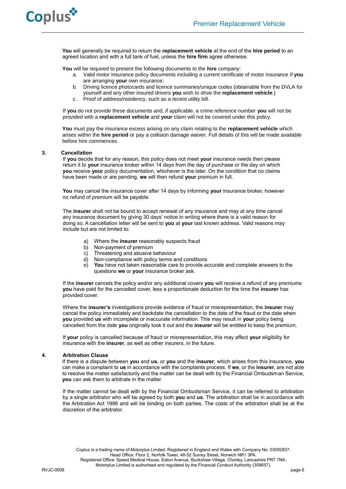

**You** will generally be required to return the **replacement vehicle** at the end of the **hire period** to an agreed location and with a full tank of fuel, unless the **hire firm** agree otherwise.

**You** will be required to present the following documents to the **hire** company:

- a. Valid motor insurance policy documents including a current certificate of motor insurance if **you**  are arranging **your** own insurance;
- b. Driving licence photocards and licence summaries/unique codes (obtainable from the DVLA for yourself and any other insured drivers **you** wish to drive the **replacement vehicle**.)
- c. Proof of address/residency, such as a recent utility bill.

If **you** do not provide these documents and, if applicable, a crime reference number **you** will not be provided with a **replacement vehicle** and **your** claim will not be covered under this policy.

**You** must pay the insurance excess arising on any claim relating to the **replacement vehicle** which arises within the **hire period** or pay a collision damage waiver. Full details of this will be made available before hire commences.

## **3. Cancellation**

If **you** decide that for any reason, this policy does not meet **your** insurance needs then please return it to **your** insurance broker within 14 days from the day of purchase or the day on which **you** receive **your** policy documentation, whichever is the later. On the condition that no claims have been made or are pending, **we** will then refund **your** premium in full.

**You** may cancel the insurance cover after 14 days by informing **your** insurance broker, however no refund of premium will be payable.

The **insurer** shall not be bound to accept renewal of any insurance and may at any time cancel any insurance document by giving 30 days' notice in writing where there is a valid reason for doing so. A cancellation letter will be sent to **you** at **your** last known address. Valid reasons may include but are not limited to:

- a) Where the **insurer** reasonably suspects fraud
- b) Non-payment of premium
- c) Threatening and abusive behaviour
- d) Non-compliance with policy terms and conditions
- e) **You** have not taken reasonable care to provide accurate and complete answers to the questions **we** or **your** insurance broker ask.

If the **insurer** cancels the policy and/or any additional covers **you** will receive a refund of any premiums **you** have paid for the cancelled cover, less a proportionate deduction for the time the **insurer** has provided cover.

Where the **insurer's** investigations provide evidence of fraud or misrepresentation, the **insurer** may cancel the policy immediately and backdate the cancellation to the date of the fraud or the date when **you** provided **us** with incomplete or inaccurate information. This may result in **your** policy being cancelled from the date **you** originally took it out and the **insurer** will be entitled to keep the premium.

If **your** policy is cancelled because of fraud or misrepresentation, this may affect **your** eligibility for insurance with the **insurer**, as well as other insurers, in the future.

#### **4. Arbitration Clause**

If there is a dispute between **you** and **us**, or **you** and the **insurer**, which arises from this insurance, **you** can make a complaint to **us** in accordance with the complaints process. If **we**, or the **insurer**, are not able to resolve the matter satisfactorily and the matter can be dealt with by the Financial Ombudsman Service, **you** can ask them to arbitrate in the matter.

If the matter cannot be dealt with by the Financial Ombudsman Service, it can be referred to arbitration by a single arbitrator who will be agreed by both **you** and **us**. The arbitration shall be in accordance with the Arbitration Act 1996 and will be binding on both parties. The costs of the arbitration shall be at the discretion of the arbitrator.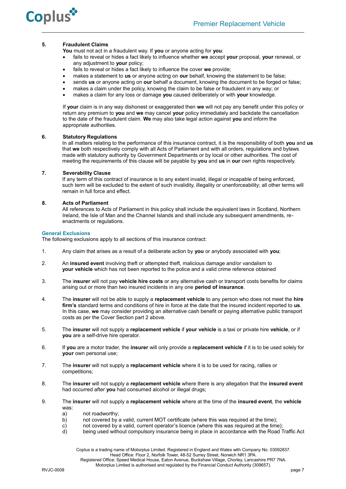

## **5. Fraudulent Claims**

**You** must not act in a fraudulent way. If **you** or anyone acting for **you**:

- fails to reveal or hides a fact likely to influence whether **we** accept **your** proposal, **your** renewal, or any adjustment to **your** policy;
- fails to reveal or hides a fact likely to influence the cover **we** provide;
- makes a statement to **us** or anyone acting on **our** behalf, knowing the statement to be false;
- sends **us** or anyone acting on **our** behalf a document, knowing the document to be forged or false;
- makes a claim under the policy, knowing the claim to be false or fraudulent in any way; or
- makes a claim for any loss or damage **you** caused deliberately or with **your** knowledge.

If **your** claim is in any way dishonest or exaggerated then **we** will not pay any benefit under this policy or return any premium to **you** and **we** may cancel **your** policy immediately and backdate the cancellation to the date of the fraudulent claim. **We** may also take legal action against **you** and inform the appropriate authorities.

## **6. Statutory Regulations**

In all matters relating to the performance of this insurance contract, it is the responsibility of both **you** and **us** that **we** both respectively comply with all Acts of Parliament and with all orders, regulations and bylaws made with statutory authority by Government Departments or by local or other authorities. The cost of meeting the requirements of this clause will be payable by **you** and **us** in **our** own rights respectively.

## **7. Severability Clause**

If any term of this contract of insurance is to any extent invalid, illegal or incapable of being enforced, such term will be excluded to the extent of such invalidity, illegality or unenforceability; all other terms will remain in full force and effect.

## **8. Acts of Parliament**

All references to Acts of Parliament in this policy shall include the equivalent laws in Scotland, Northern Ireland, the Isle of Man and the Channel Islands and shall include any subsequent amendments, reenactments or regulations.

## **General Exclusions**

The following exclusions apply to all sections of this insurance contract:

- 1. Any claim that arises as a result of a deliberate action by **you** or anybody associated with **you**;
- 2. An **insured event** involving theft or attempted theft, malicious damage and/or vandalism to **your vehicle** which has not been reported to the police and a valid crime reference obtained
- 3. The i**nsurer** will not pay **vehicle hire costs** or any alternative cash or transport costs benefits for claims arising out or more than two insured incidents in any one **period of insurance**.
- 4. The **insurer** will not be able to supply a **replacement vehicle** to any person who does not meet the **hire firm's** standard terms and conditions of hire in force at the date that the insured incident reported to **us**. In this case, **we** may consider providing an alternative cash benefit or paying alternative public transport costs as per the Cover Section part 2 above.
- 5.The **insurer** will not supply a **replacement vehicle** if **your vehicle** is a taxi or private hire **vehicle**, or if **you** are a self-drive hire operator.
- 6. If **you** are a motor trader, the **insurer** will only provide a **replacement vehicle** if it is to be used solely for **your** own personal use;
- 7. The **insurer** will not supply a **replacement vehicle** where it is to be used for racing, rallies or competitions;
- 8. The **insurer** will not supply a **replacement vehicle** where there is any allegation that the **insured event** had occurred after **you** had consumed alcohol or illegal drugs;
- 9. The **insurer** will not supply a **replacement vehicle** where at the time of the **insured event**, the **vehicle** was:
	-
	- a) not roadworthy;<br>b) not covered by not covered by a valid, current MOT certificate (where this was required at the time);
	- c) not covered by a valid, current operator's licence (where this was required at the time);
	- d) being used without compulsory insurance being in place in accordance with the Road Traffic Act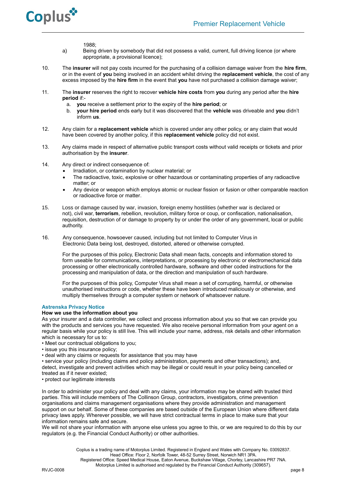

1988;

- a) Being driven by somebody that did not possess a valid, current, full driving licence (or where appropriate, a provisional licence);
- 10. The **insurer** will not pay costs incurred for the purchasing of a collision damage waiver from the **hire firm**, or in the event of **you** being involved in an accident whilst driving the **replacement vehicle**, the cost of any excess imposed by the **hire firm** in the event that **you** have not purchased a collision damage waiver;
- 11. The **insurer** reserves the right to recover **vehicle hire costs** from **you** during any period after the **hire period** if:
	- a. **you** receive a settlement prior to the expiry of the **hire period**; or
	- b. **your hire period** ends early but it was discovered that the **vehicle** was driveable and **you** didn't inform **us**.
- 12. Any claim for a **replacement vehicle** which is covered under any other policy, or any claim that would have been covered by another policy, if this **replacement vehicle** policy did not exist.
- 13. Any claims made in respect of alternative public transport costs without valid receipts or tickets and prior authorisation by the **insurer**.
- 14. Any direct or indirect consequence of:
	- Irradiation, or contamination by nuclear material; or
	- The radioactive, toxic, explosive or other hazardous or contaminating properties of any radioactive matter; or
	- Any device or weapon which employs atomic or nuclear fission or fusion or other comparable reaction or radioactive force or matter.
- 15. Loss or damage caused by war, invasion, foreign enemy hostilities (whether war is declared or not), civil war, **terrorism**, rebellion, revolution, military force or coup, or confiscation, nationalisation, requisition, destruction of or damage to property by or under the order of any government, local or public authority.
- 16. Any consequence, howsoever caused, including but not limited to Computer Virus in Electronic Data being lost, destroyed, distorted, altered or otherwise corrupted.

For the purposes of this policy, Electronic Data shall mean facts, concepts and information stored to form useable for communications, interpretations, or processing by electronic or electromechanical data processing or other electronically controlled hardware, software and other coded instructions for the processing and manipulation of data, or the direction and manipulation of such hardware.

For the purposes of this policy, Computer Virus shall mean a set of corrupting, harmful, or otherwise unauthorised instructions or code, whether these have been introduced maliciously or otherwise, and multiply themselves through a computer system or network of whatsoever nature.

## **Astrenska Privacy Notice**

## **How we use the information about you**

As your insurer and a data controller, we collect and process information about you so that we can provide you with the products and services you have requested. We also receive personal information from your agent on a regular basis while your policy is still live. This will include your name, address, risk details and other information which is necessary for us to:

- Meet our contractual obligations to you;
- issue you this insurance policy;
- deal with any claims or requests for assistance that you may have

• service your policy (including claims and policy administration, payments and other transactions); and, detect, investigate and prevent activities which may be illegal or could result in your policy being cancelled or treated as if it never existed;

• protect our legitimate interests

In order to administer your policy and deal with any claims, your information may be shared with trusted third parties. This will include members of The Collinson Group, contractors, investigators, crime prevention organisations and claims management organisations where they provide administration and management support on our behalf. Some of these companies are based outside of the European Union where different data privacy laws apply. Wherever possible, we will have strict contractual terms in place to make sure that your information remains safe and secure.

We will not share your information with anyone else unless you agree to this, or we are required to do this by our regulators (e.g. the Financial Conduct Authority) or other authorities.